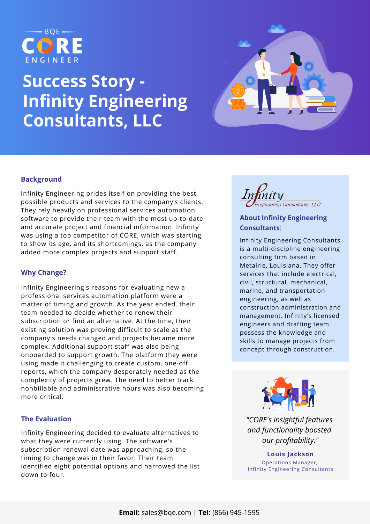

# **Success Story - Infinity Engineering Consultants, LLC**



# **Background**

Infinity Engineering prides itself on providing the best possible products and services to the company's clients. They rely heavily on professional services automation software to provide their team with the most up-to-date and accurate project and financial information. Infinity was using a top competitor of CORE, which was starting to show its age, and its shortcomings, as the company added more complex projects and support staff.

### **Why Change?**

Infinity Engineering's reasons for evaluating new a professional services automation platform were a matter of timing and growth. As the year ended, their team needed to decide whether to renew their subscription or find an alternative. At the time, their existing solution was proving difficult to scale as the company's needs changed and projects became more complex. Additional support staff was also being onboarded to support growth. The platform they were using made it challenging to create custom, one-off reports, which the company desperately needed as the complexity of projects grew. The need to better track nonbillable and administrative hours was also becoming more critical.

## **The Evaluation**

Infinity Engineering decided to evaluate alternatives to what they were currently using. The software's subscription renewal date was approaching, so the timing to change was in their favor. Their team identified eight potential options and narrowed the list down to four.



# **About Infinity Engineering [Consultants](https://www.wbengr.com/)**:

Infinity Engineering Consultants is a [multi-discipline](http://www.infinityec.com/) engineering consulting firm based in Metairie, Louisiana. They offer services that include electrical, civil, structural, mechanical, marine, and transportation engineering, as well as construction administration and management. Infinity's licensed engineers and drafting team possess the knowledge and skills to manage projects from concept through construction.



*"CORE's insightful features and functionality boosted our profitability."*

**Louis Jackson** Operations Manager, Infinity Engineering Consultants